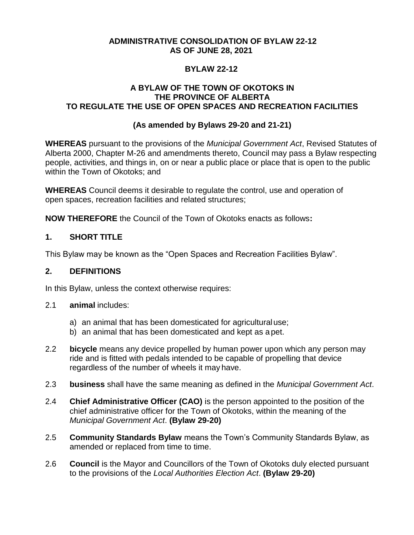### **ADMINISTRATIVE CONSOLIDATION OF BYLAW 22-12 AS OF JUNE 28, 2021**

### **BYLAW 22-12**

## **A BYLAW OF THE TOWN OF OKOTOKS IN THE PROVINCE OF ALBERTA TO REGULATE THE USE OF OPEN SPACES AND RECREATION FACILITIES**

## **(As amended by Bylaws 29-20 and 21-21)**

**WHEREAS** pursuant to the provisions of the *Municipal Government Act*, Revised Statutes of Alberta 2000, Chapter M-26 and amendments thereto, Council may pass a Bylaw respecting people, activities, and things in, on or near a public place or place that is open to the public within the Town of Okotoks; and

**WHEREAS** Council deems it desirable to regulate the control, use and operation of open spaces, recreation facilities and related structures;

**NOW THEREFORE** the Council of the Town of Okotoks enacts as follows**:**

## **1. SHORT TITLE**

This Bylaw may be known as the "Open Spaces and Recreation Facilities Bylaw".

### **2. DEFINITIONS**

In this Bylaw, unless the context otherwise requires:

- 2.1 **animal** includes:
	- a) an animal that has been domesticated for agriculturaluse;
	- b) an animal that has been domesticated and kept as a pet.
- 2.2 **bicycle** means any device propelled by human power upon which any person may ride and is fitted with pedals intended to be capable of propelling that device regardless of the number of wheels it may have.
- 2.3 **business** shall have the same meaning as defined in the *Municipal Government Act*.
- 2.4 **Chief Administrative Officer (CAO)** is the person appointed to the position of the chief administrative officer for the Town of Okotoks, within the meaning of the *Municipal Government Act*. **(Bylaw 29-20)**
- 2.5 **Community Standards Bylaw** means the Town's Community Standards Bylaw, as amended or replaced from time to time.
- 2.6 **Council** is the Mayor and Councillors of the Town of Okotoks duly elected pursuant to the provisions of the *Local Authorities Election Act*. **(Bylaw 29-20)**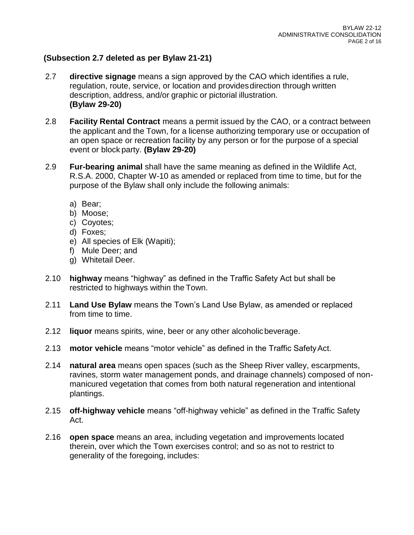## **(Subsection 2.7 deleted as per Bylaw 21-21)**

- 2.7 **directive signage** means a sign approved by the CAO which identifies a rule, regulation, route, service, or location and providesdirection through written description, address, and/or graphic or pictorial illustration. **(Bylaw 29-20)**
- 2.8 **Facility Rental Contract** means a permit issued by the CAO, or a contract between the applicant and the Town, for a license authorizing temporary use or occupation of an open space or recreation facility by any person or for the purpose of a special event or block party. **(Bylaw 29-20)**
- 2.9 **Fur-bearing animal** shall have the same meaning as defined in the Wildlife Act, R.S.A. 2000, Chapter W-10 as amended or replaced from time to time, but for the purpose of the Bylaw shall only include the following animals:
	- a) Bear;
	- b) Moose;
	- c) Coyotes;
	- d) Foxes;
	- e) All species of Elk (Wapiti);
	- f) Mule Deer; and
	- g) Whitetail Deer.
- 2.10 **highway** means "highway" as defined in the Traffic Safety Act but shall be restricted to highways within the Town.
- 2.11 **Land Use Bylaw** means the Town's Land Use Bylaw, as amended or replaced from time to time.
- 2.12 **liquor** means spirits, wine, beer or any other alcoholicbeverage.
- 2.13 **motor vehicle** means "motor vehicle" as defined in the Traffic SafetyAct.
- 2.14 **natural area** means open spaces (such as the Sheep River valley, escarpments, ravines, storm water management ponds, and drainage channels) composed of nonmanicured vegetation that comes from both natural regeneration and intentional plantings.
- 2.15 **off-highway vehicle** means "off-highway vehicle" as defined in the Traffic Safety Act.
- 2.16 **open space** means an area, including vegetation and improvements located therein, over which the Town exercises control; and so as not to restrict to generality of the foregoing, includes: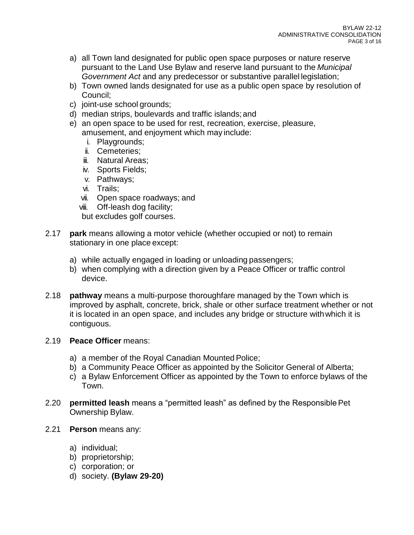- a) all Town land designated for public open space purposes or nature reserve pursuant to the Land Use Bylaw and reserve land pursuant to the *Municipal Government Act* and any predecessor or substantive parallel legislation;
- b) Town owned lands designated for use as a public open space by resolution of Council;
- c) joint-use school grounds;
- d) median strips, boulevards and traffic islands;and
- e) an open space to be used for rest, recreation, exercise, pleasure, amusement, and enjoyment which may include:
	- i. Playgrounds;
	- ii. Cemeteries;
	- **iii.** Natural Areas:
	- iv. Sports Fields;
	- v. Pathways;
	- vi. Trails;
	- vii. Open space roadways; and
	- viii. Off-leash dog facility;

but excludes golf courses.

- 2.17 **park** means allowing a motor vehicle (whether occupied or not) to remain stationary in one place except:
	- a) while actually engaged in loading or unloading passengers;
	- b) when complying with a direction given by a Peace Officer or traffic control device.
- 2.18 **pathway** means a multi-purpose thoroughfare managed by the Town which is improved by asphalt, concrete, brick, shale or other surface treatment whether or not it is located in an open space, and includes any bridge or structure withwhich it is contiguous.

### 2.19 **Peace Officer** means:

- a) a member of the Royal Canadian Mounted Police;
- b) a Community Peace Officer as appointed by the Solicitor General of Alberta;
- c) a Bylaw Enforcement Officer as appointed by the Town to enforce bylaws of the Town.
- 2.20 **permitted leash** means a "permitted leash" as defined by the ResponsiblePet Ownership Bylaw.
- 2.21 **Person** means any:
	- a) individual;
	- b) proprietorship;
	- c) corporation; or
	- d) society. **(Bylaw 29-20)**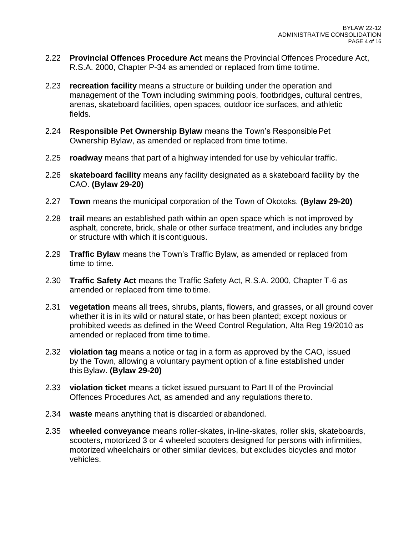- 2.22 **Provincial Offences Procedure Act** means the Provincial Offences Procedure Act, R.S.A. 2000, Chapter P-34 as amended or replaced from time totime.
- 2.23 **recreation facility** means a structure or building under the operation and management of the Town including swimming pools, footbridges, cultural centres, arenas, skateboard facilities, open spaces, outdoor ice surfaces, and athletic fields.
- 2.24 **Responsible Pet Ownership Bylaw** means the Town's ResponsiblePet Ownership Bylaw, as amended or replaced from time totime.
- 2.25 **roadway** means that part of a highway intended for use by vehicular traffic.
- 2.26 **skateboard facility** means any facility designated as a skateboard facility by the CAO. **(Bylaw 29-20)**
- 2.27 **Town** means the municipal corporation of the Town of Okotoks. **(Bylaw 29-20)**
- 2.28 **trail** means an established path within an open space which is not improved by asphalt, concrete, brick, shale or other surface treatment, and includes any bridge or structure with which it is contiguous.
- 2.29 **Traffic Bylaw** means the Town's Traffic Bylaw, as amended or replaced from time to time.
- 2.30 **Traffic Safety Act** means the Traffic Safety Act, R.S.A. 2000, Chapter T-6 as amended or replaced from time to time.
- 2.31 **vegetation** means all trees, shrubs, plants, flowers, and grasses, or all ground cover whether it is in its wild or natural state, or has been planted; except noxious or prohibited weeds as defined in the Weed Control Regulation, Alta Reg 19/2010 as amended or replaced from time to time.
- 2.32 **violation tag** means a notice or tag in a form as approved by the CAO, issued by the Town, allowing a voluntary payment option of a fine established under this Bylaw. **(Bylaw 29-20)**
- 2.33 **violation ticket** means a ticket issued pursuant to Part II of the Provincial Offences Procedures Act, as amended and any regulations thereto.
- 2.34 **waste** means anything that is discarded orabandoned.
- 2.35 **wheeled conveyance** means roller-skates, in-line-skates, roller skis, skateboards, scooters, motorized 3 or 4 wheeled scooters designed for persons with infirmities, motorized wheelchairs or other similar devices, but excludes bicycles and motor vehicles.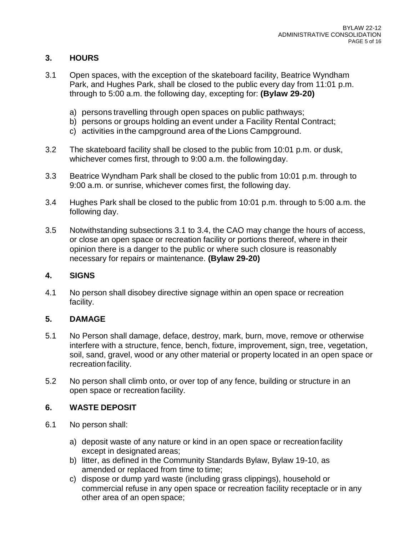# **3. HOURS**

- 3.1 Open spaces, with the exception of the skateboard facility, Beatrice Wyndham Park, and Hughes Park, shall be closed to the public every day from 11:01 p.m. through to 5:00 a.m. the following day, excepting for: **(Bylaw 29-20)**
	- a) persons travelling through open spaces on public pathways;
	- b) persons or groups holding an event under a Facility Rental Contract;
	- c) activities in the campground area of the Lions Campground.
- 3.2 The skateboard facility shall be closed to the public from 10:01 p.m. or dusk, whichever comes first, through to 9:00 a.m. the followingday.
- 3.3 Beatrice Wyndham Park shall be closed to the public from 10:01 p.m. through to 9:00 a.m. or sunrise, whichever comes first, the following day.
- 3.4 Hughes Park shall be closed to the public from 10:01 p.m. through to 5:00 a.m. the following day.
- 3.5 Notwithstanding subsections 3.1 to 3.4, the CAO may change the hours of access, or close an open space or recreation facility or portions thereof, where in their opinion there is a danger to the public or where such closure is reasonably necessary for repairs or maintenance. **(Bylaw 29-20)**

### **4. SIGNS**

4.1 No person shall disobey directive signage within an open space or recreation facility.

### **5. DAMAGE**

- 5.1 No Person shall damage, deface, destroy, mark, burn, move, remove or otherwise interfere with a structure, fence, bench, fixture, improvement, sign, tree, vegetation, soil, sand, gravel, wood or any other material or property located in an open space or recreation facility.
- 5.2 No person shall climb onto, or over top of any fence, building or structure in an open space or recreation facility.

### **6. WASTE DEPOSIT**

- 6.1 No person shall:
	- a) deposit waste of any nature or kind in an open space or recreationfacility except in designated areas;
	- b) litter, as defined in the Community Standards Bylaw, Bylaw 19-10, as amended or replaced from time to time;
	- c) dispose or dump yard waste (including grass clippings), household or commercial refuse in any open space or recreation facility receptacle or in any other area of an open space;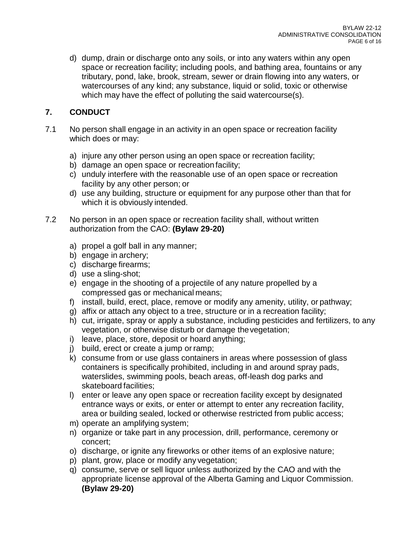d) dump, drain or discharge onto any soils, or into any waters within any open space or recreation facility; including pools, and bathing area, fountains or any tributary, pond, lake, brook, stream, sewer or drain flowing into any waters, or watercourses of any kind; any substance, liquid or solid, toxic or otherwise which may have the effect of polluting the said watercourse(s).

# **7. CONDUCT**

- 7.1 No person shall engage in an activity in an open space or recreation facility which does or may:
	- a) injure any other person using an open space or recreation facility;
	- b) damage an open space or recreation facility;
	- c) unduly interfere with the reasonable use of an open space or recreation facility by any other person; or
	- d) use any building, structure or equipment for any purpose other than that for which it is obviously intended.
- 7.2 No person in an open space or recreation facility shall, without written authorization from the CAO: **(Bylaw 29-20)**
	- a) propel a golf ball in any manner;
	- b) engage in archery;
	- c) discharge firearms;
	- d) use a sling-shot;
	- e) engage in the shooting of a projectile of any nature propelled by a compressed gas or mechanical means;
	- f) install, build, erect, place, remove or modify any amenity, utility, or pathway;
	- g) affix or attach any object to a tree, structure or in a recreation facility;
	- h) cut, irrigate, spray or apply a substance, including pesticides and fertilizers, to any vegetation, or otherwise disturb or damage thevegetation;
	- i) leave, place, store, deposit or hoard anything;
	- j) build, erect or create a jump or ramp;
	- k) consume from or use glass containers in areas where possession of glass containers is specifically prohibited, including in and around spray pads, waterslides, swimming pools, beach areas, off-leash dog parks and skateboard facilities;
	- l) enter or leave any open space or recreation facility except by designated entrance ways or exits, or enter or attempt to enter any recreation facility, area or building sealed, locked or otherwise restricted from public access;
	- m) operate an amplifying system;
	- n) organize or take part in any procession, drill, performance, ceremony or concert;
	- o) discharge, or ignite any fireworks or other items of an explosive nature;
	- p) plant, grow, place or modify any vegetation;
	- q) consume, serve or sell liquor unless authorized by the CAO and with the appropriate license approval of the Alberta Gaming and Liquor Commission. **(Bylaw 29-20)**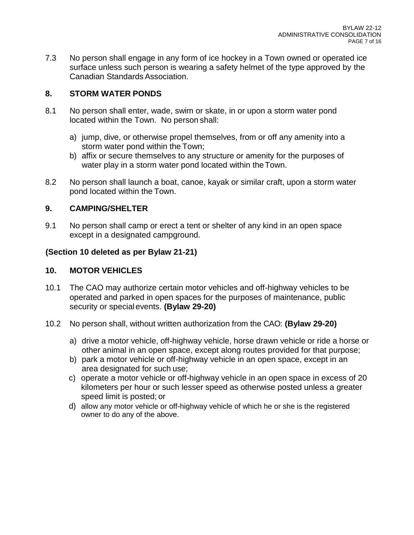7.3 No person shall engage in any form of ice hockey in a Town owned or operated ice surface unless such person is wearing a safety helmet of the type approved by the Canadian Standards Association.

## **8. STORM WATER PONDS**

- 8.1 No person shall enter, wade, swim or skate, in or upon a storm water pond located within the Town. No person shall:
	- a) jump, dive, or otherwise propel themselves, from or off any amenity into a storm water pond within the Town;
	- b) affix or secure themselves to any structure or amenity for the purposes of water play in a storm water pond located within the Town.
- 8.2 No person shall launch a boat, canoe, kayak or similar craft, upon a storm water pond located within the Town.

## **9. CAMPING/SHELTER**

9.1 No person shall camp or erect a tent or shelter of any kind in an open space except in a designated campground.

## **(Section 10 deleted as per Bylaw 21-21)**

## **10. MOTOR VEHICLES**

- 10.1 The CAO may authorize certain motor vehicles and off-highway vehicles to be operated and parked in open spaces for the purposes of maintenance, public security or specialevents. **(Bylaw 29-20)**
- 10.2 No person shall, without written authorization from the CAO: **(Bylaw 29-20)**
	- a) drive a motor vehicle, off-highway vehicle, horse drawn vehicle or ride a horse or other animal in an open space, except along routes provided for that purpose;
	- b) park a motor vehicle or off-highway vehicle in an open space, except in an area designated for such use;
	- c) operate a motor vehicle or off-highway vehicle in an open space in excess of 20 kilometers per hour or such lesser speed as otherwise posted unless a greater speed limit is posted; or
	- d) allow any motor vehicle or off-highway vehicle of which he or she is the registered owner to do any of the above.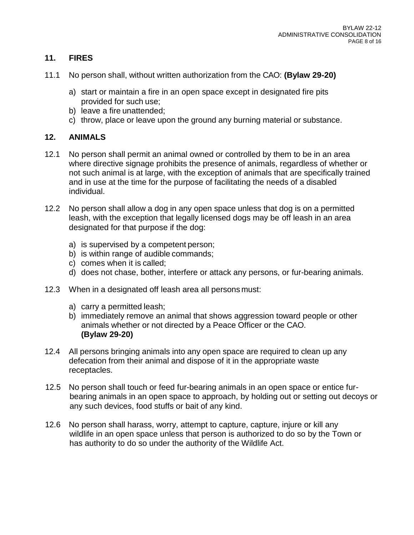## **11. FIRES**

- 11.1 No person shall, without written authorization from the CAO: **(Bylaw 29-20)**
	- a) start or maintain a fire in an open space except in designated fire pits provided for such use;
	- b) leave a fire unattended;
	- c) throw, place or leave upon the ground any burning material or substance.

## **12. ANIMALS**

- 12.1 No person shall permit an animal owned or controlled by them to be in an area where directive signage prohibits the presence of animals, regardless of whether or not such animal is at large, with the exception of animals that are specifically trained and in use at the time for the purpose of facilitating the needs of a disabled individual.
- 12.2 No person shall allow a dog in any open space unless that dog is on a permitted leash, with the exception that legally licensed dogs may be off leash in an area designated for that purpose if the dog:
	- a) is supervised by a competent person;
	- b) is within range of audible commands;
	- c) comes when it is called;
	- d) does not chase, bother, interfere or attack any persons, or fur-bearing animals.
- 12.3 When in a designated off leash area all persons must:
	- a) carry a permitted leash;
	- b) immediately remove an animal that shows aggression toward people or other animals whether or not directed by a Peace Officer or the CAO. **(Bylaw 29-20)**
- 12.4 All persons bringing animals into any open space are required to clean up any defecation from their animal and dispose of it in the appropriate waste receptacles.
- 12.5 No person shall touch or feed fur-bearing animals in an open space or entice furbearing animals in an open space to approach, by holding out or setting out decoys or any such devices, food stuffs or bait of any kind.
- 12.6 No person shall harass, worry, attempt to capture, capture, injure or kill any wildlife in an open space unless that person is authorized to do so by the Town or has authority to do so under the authority of the Wildlife Act.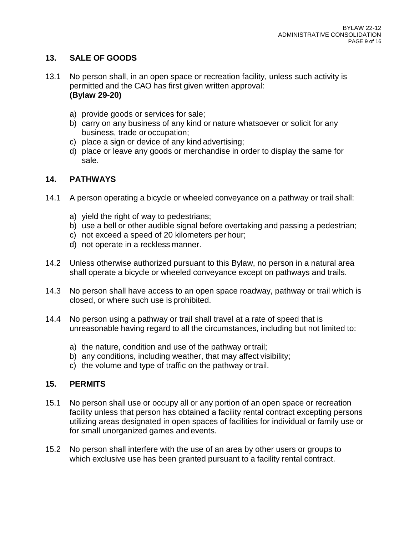## **13. SALE OF GOODS**

- 13.1 No person shall, in an open space or recreation facility, unless such activity is permitted and the CAO has first given written approval: **(Bylaw 29-20)**
	- a) provide goods or services for sale;
	- b) carry on any business of any kind or nature whatsoever or solicit for any business, trade or occupation;
	- c) place a sign or device of any kind advertising;
	- d) place or leave any goods or merchandise in order to display the same for sale.

### **14. PATHWAYS**

- 14.1 A person operating a bicycle or wheeled conveyance on a pathway or trail shall:
	- a) yield the right of way to pedestrians;
	- b) use a bell or other audible signal before overtaking and passing a pedestrian;
	- c) not exceed a speed of 20 kilometers per hour;
	- d) not operate in a reckless manner.
- 14.2 Unless otherwise authorized pursuant to this Bylaw, no person in a natural area shall operate a bicycle or wheeled conveyance except on pathways and trails.
- 14.3 No person shall have access to an open space roadway, pathway or trail which is closed, or where such use is prohibited.
- 14.4 No person using a pathway or trail shall travel at a rate of speed that is unreasonable having regard to all the circumstances, including but not limited to:
	- a) the nature, condition and use of the pathway or trail;
	- b) any conditions, including weather, that may affect visibility;
	- c) the volume and type of traffic on the pathway ortrail.

### **15. PERMITS**

- 15.1 No person shall use or occupy all or any portion of an open space or recreation facility unless that person has obtained a facility rental contract excepting persons utilizing areas designated in open spaces of facilities for individual or family use or for small unorganized games and events.
- 15.2 No person shall interfere with the use of an area by other users or groups to which exclusive use has been granted pursuant to a facility rental contract.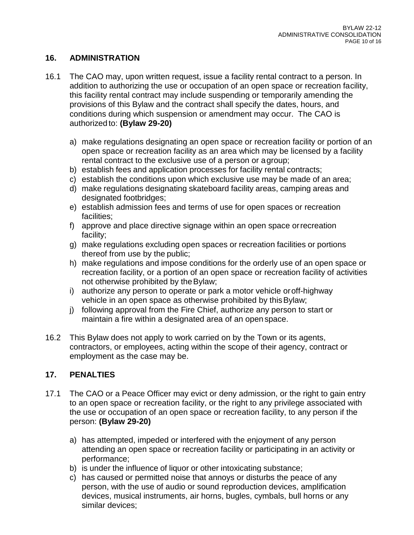## **16. ADMINISTRATION**

- 16.1 The CAO may, upon written request, issue a facility rental contract to a person. In addition to authorizing the use or occupation of an open space or recreation facility, this facility rental contract may include suspending or temporarily amending the provisions of this Bylaw and the contract shall specify the dates, hours, and conditions during which suspension or amendment may occur. The CAO is authorized to: **(Bylaw 29-20)**
	- a) make regulations designating an open space or recreation facility or portion of an open space or recreation facility as an area which may be licensed by a facility rental contract to the exclusive use of a person or agroup;
	- b) establish fees and application processes for facility rental contracts;
	- c) establish the conditions upon which exclusive use may be made of an area;
	- d) make regulations designating skateboard facility areas, camping areas and designated footbridges;
	- e) establish admission fees and terms of use for open spaces or recreation facilities;
	- f) approve and place directive signage within an open space orrecreation facility;
	- g) make regulations excluding open spaces or recreation facilities or portions thereof from use by the public;
	- h) make regulations and impose conditions for the orderly use of an open space or recreation facility, or a portion of an open space or recreation facility of activities not otherwise prohibited by theBylaw;
	- i) authorize any person to operate or park a motor vehicle oroff-highway vehicle in an open space as otherwise prohibited by thisBylaw;
	- j) following approval from the Fire Chief, authorize any person to start or maintain a fire within a designated area of an open space.
- 16.2 This Bylaw does not apply to work carried on by the Town or its agents, contractors, or employees, acting within the scope of their agency, contract or employment as the case may be.

### **17. PENALTIES**

- 17.1 The CAO or a Peace Officer may evict or deny admission, or the right to gain entry to an open space or recreation facility, or the right to any privilege associated with the use or occupation of an open space or recreation facility, to any person if the person: **(Bylaw 29-20)**
	- a) has attempted, impeded or interfered with the enjoyment of any person attending an open space or recreation facility or participating in an activity or performance;
	- b) is under the influence of liquor or other intoxicating substance;
	- c) has caused or permitted noise that annoys or disturbs the peace of any person, with the use of audio or sound reproduction devices, amplification devices, musical instruments, air horns, bugles, cymbals, bull horns or any similar devices;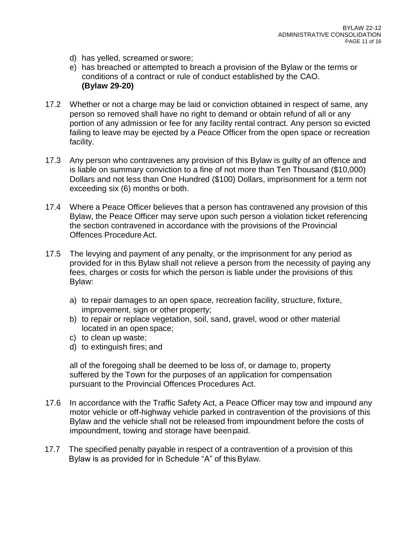- d) has yelled, screamed or swore;
- e) has breached or attempted to breach a provision of the Bylaw or the terms or conditions of a contract or rule of conduct established by the CAO. **(Bylaw 29-20)**
- 17.2 Whether or not a charge may be laid or conviction obtained in respect of same, any person so removed shall have no right to demand or obtain refund of all or any portion of any admission or fee for any facility rental contract. Any person so evicted failing to leave may be ejected by a Peace Officer from the open space or recreation facility.
- 17.3 Any person who contravenes any provision of this Bylaw is guilty of an offence and is liable on summary conviction to a fine of not more than Ten Thousand (\$10,000) Dollars and not less than One Hundred (\$100) Dollars, imprisonment for a term not exceeding six (6) months or both.
- 17.4 Where a Peace Officer believes that a person has contravened any provision of this Bylaw, the Peace Officer may serve upon such person a violation ticket referencing the section contravened in accordance with the provisions of the Provincial Offences Procedure Act.
- 17.5 The levying and payment of any penalty, or the imprisonment for any period as provided for in this Bylaw shall not relieve a person from the necessity of paying any fees, charges or costs for which the person is liable under the provisions of this Bylaw:
	- a) to repair damages to an open space, recreation facility, structure, fixture, improvement, sign or other property;
	- b) to repair or replace vegetation, soil, sand, gravel, wood or other material located in an open space;
	- c) to clean up waste;
	- d) to extinguish fires; and

all of the foregoing shall be deemed to be loss of, or damage to, property suffered by the Town for the purposes of an application for compensation pursuant to the Provincial Offences Procedures Act.

- 17.6 In accordance with the Traffic Safety Act, a Peace Officer may tow and impound any motor vehicle or off-highway vehicle parked in contravention of the provisions of this Bylaw and the vehicle shall not be released from impoundment before the costs of impoundment, towing and storage have beenpaid.
- 17.7 The specified penalty payable in respect of a contravention of a provision of this Bylaw is as provided for in Schedule "A" of thisBylaw.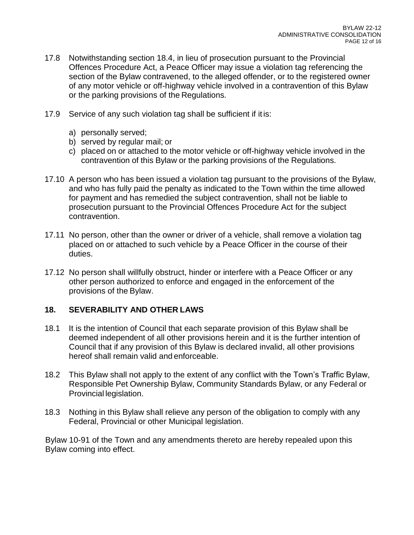- 17.8 Notwithstanding section 18.4, in lieu of prosecution pursuant to the Provincial Offences Procedure Act, a Peace Officer may issue a violation tag referencing the section of the Bylaw contravened, to the alleged offender, or to the registered owner of any motor vehicle or off-highway vehicle involved in a contravention of this Bylaw or the parking provisions of the Regulations.
- 17.9 Service of any such violation tag shall be sufficient if itis:
	- a) personally served;
	- b) served by regular mail; or
	- c) placed on or attached to the motor vehicle or off-highway vehicle involved in the contravention of this Bylaw or the parking provisions of the Regulations.
- 17.10 A person who has been issued a violation tag pursuant to the provisions of the Bylaw, and who has fully paid the penalty as indicated to the Town within the time allowed for payment and has remedied the subject contravention, shall not be liable to prosecution pursuant to the Provincial Offences Procedure Act for the subject contravention.
- 17.11 No person, other than the owner or driver of a vehicle, shall remove a violation tag placed on or attached to such vehicle by a Peace Officer in the course of their duties.
- 17.12 No person shall willfully obstruct, hinder or interfere with a Peace Officer or any other person authorized to enforce and engaged in the enforcement of the provisions of the Bylaw.

### **18. SEVERABILITY AND OTHER LAWS**

- 18.1 It is the intention of Council that each separate provision of this Bylaw shall be deemed independent of all other provisions herein and it is the further intention of Council that if any provision of this Bylaw is declared invalid, all other provisions hereof shall remain valid and enforceable.
- 18.2 This Bylaw shall not apply to the extent of any conflict with the Town's Traffic Bylaw, Responsible Pet Ownership Bylaw, Community Standards Bylaw, or any Federal or Provincial legislation.
- 18.3 Nothing in this Bylaw shall relieve any person of the obligation to comply with any Federal, Provincial or other Municipal legislation.

Bylaw 10-91 of the Town and any amendments thereto are hereby repealed upon this Bylaw coming into effect.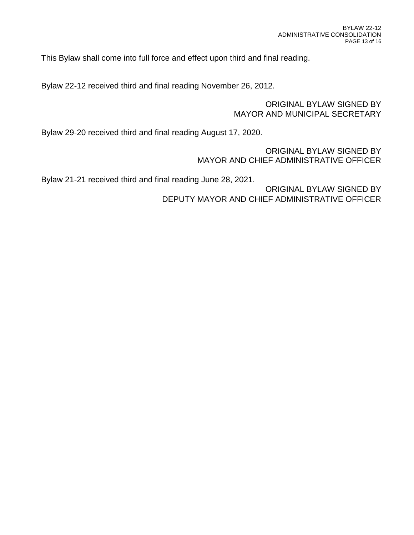This Bylaw shall come into full force and effect upon third and final reading.

Bylaw 22-12 received third and final reading November 26, 2012.

### ORIGINAL BYLAW SIGNED BY MAYOR AND MUNICIPAL SECRETARY

Bylaw 29-20 received third and final reading August 17, 2020.

ORIGINAL BYLAW SIGNED BY MAYOR AND CHIEF ADMINISTRATIVE OFFICER

Bylaw 21-21 received third and final reading June 28, 2021.

ORIGINAL BYLAW SIGNED BY DEPUTY MAYOR AND CHIEF ADMINISTRATIVE OFFICER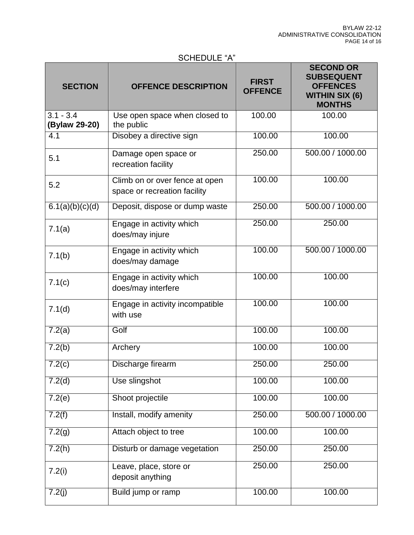# SCHEDULE "A"

| <b>SECTION</b>               | <b>OFFENCE DESCRIPTION</b>                                     | <b>FIRST</b><br><b>OFFENCE</b> | <b>SECOND OR</b><br><b>SUBSEQUENT</b><br><b>OFFENCES</b><br><b>WITHIN SIX (6)</b><br><b>MONTHS</b> |
|------------------------------|----------------------------------------------------------------|--------------------------------|----------------------------------------------------------------------------------------------------|
| $3.1 - 3.4$<br>(Bylaw 29-20) | Use open space when closed to<br>the public                    | 100.00                         | 100.00                                                                                             |
| 4.1                          | Disobey a directive sign                                       | 100.00                         | 100.00                                                                                             |
| 5.1                          | Damage open space or<br>recreation facility                    | 250.00                         | 500.00 / 1000.00                                                                                   |
| 5.2                          | Climb on or over fence at open<br>space or recreation facility | 100.00                         | 100.00                                                                                             |
| 6.1(a)(b)(c)(d)              | Deposit, dispose or dump waste                                 | 250.00                         | 500.00 / 1000.00                                                                                   |
| 7.1(a)                       | Engage in activity which<br>does/may injure                    | 250.00                         | 250.00                                                                                             |
| 7.1(b)                       | Engage in activity which<br>does/may damage                    | 100.00                         | 500.00 / 1000.00                                                                                   |
| 7.1(c)                       | Engage in activity which<br>does/may interfere                 | 100.00                         | 100.00                                                                                             |
| 7.1(d)                       | Engage in activity incompatible<br>with use                    | 100.00                         | 100.00                                                                                             |
| 7.2(a)                       | Golf                                                           | 100.00                         | 100.00                                                                                             |
| 7.2(b)                       | Archery                                                        | 100.00                         | 100.00                                                                                             |
| 7.2(c)                       | Discharge firearm                                              | 250.00                         | 250.00                                                                                             |
| 7.2(d)                       | Use slingshot                                                  | 100.00                         | 100.00                                                                                             |
| 7.2(e)                       | Shoot projectile                                               | 100.00                         | 100.00                                                                                             |
| 7.2(f)                       | Install, modify amenity                                        | 250.00                         | 500.00 / 1000.00                                                                                   |
| 7.2(g)                       | Attach object to tree                                          | 100.00                         | 100.00                                                                                             |
| 7.2(h)                       | Disturb or damage vegetation                                   | 250.00                         | 250.00                                                                                             |
| 7.2(i)                       | Leave, place, store or<br>deposit anything                     | 250.00                         | 250.00                                                                                             |
| 7.2(j)                       | Build jump or ramp                                             | 100.00                         | 100.00                                                                                             |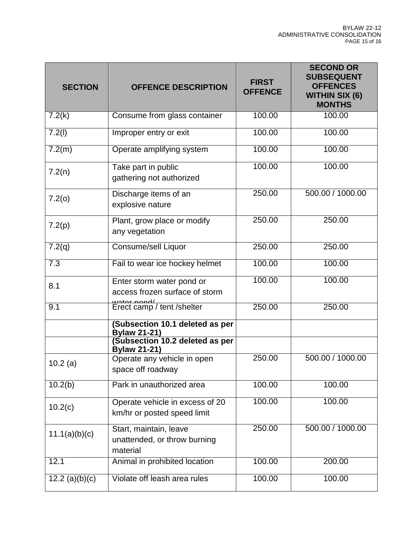| <b>SECTION</b>       | <b>OFFENCE DESCRIPTION</b>                                         | <b>FIRST</b><br><b>OFFENCE</b> | <b>SECOND OR</b><br><b>SUBSEQUENT</b><br><b>OFFENCES</b><br><b>WITHIN SIX (6)</b><br><b>MONTHS</b> |
|----------------------|--------------------------------------------------------------------|--------------------------------|----------------------------------------------------------------------------------------------------|
| 7.2(k)               | Consume from glass container                                       | 100.00                         | 100.00                                                                                             |
| 7.2(l)               | Improper entry or exit                                             | 100.00                         | 100.00                                                                                             |
| 7.2(m)               | Operate amplifying system                                          | 100.00                         | 100.00                                                                                             |
| 7.2(n)               | Take part in public<br>gathering not authorized                    | 100.00                         | 100.00                                                                                             |
| 7.2(0)               | Discharge items of an<br>explosive nature                          | 250.00                         | 500.00 / 1000.00                                                                                   |
| 7.2(p)               | Plant, grow place or modify<br>any vegetation                      | 250.00                         | 250.00                                                                                             |
| $\overline{7.2}$ (q) | Consume/sell Liquor                                                | 250.00                         | 250.00                                                                                             |
| $\overline{7.3}$     | Fail to wear ice hockey helmet                                     | 100.00                         | 100.00                                                                                             |
| 8.1                  | Enter storm water pond or<br>access frozen surface of storm        | 100.00                         | 100.00                                                                                             |
| 9.1                  | water nond/<br>Erect camp / tent /shelter                          | 250.00                         | 250.00                                                                                             |
|                      | <b>(Subsection 10.1 deleted as per</b><br><b>Bylaw 21-21)</b>      |                                |                                                                                                    |
|                      | (Subsection 10.2 deleted as per<br><b>Bylaw 21-21)</b>             |                                |                                                                                                    |
| 10.2(a)              | Operate any vehicle in open<br>space off roadway                   | 250.00                         | 500.00 / 1000.00                                                                                   |
| 10.2(b)              | Park in unauthorized area                                          | 100.00                         | 100.00                                                                                             |
| 10.2(c)              | Operate vehicle in excess of 20<br>km/hr or posted speed limit     | 100.00                         | 100.00                                                                                             |
| 11.1(a)(b)(c)        | Start, maintain, leave<br>unattended, or throw burning<br>material | 250.00                         | 500.00 / 1000.00                                                                                   |
| 12.1                 | Animal in prohibited location                                      | 100.00                         | 200.00                                                                                             |
| 12.2 (a) $(b)(c)$    | Violate off leash area rules                                       | 100.00                         | 100.00                                                                                             |